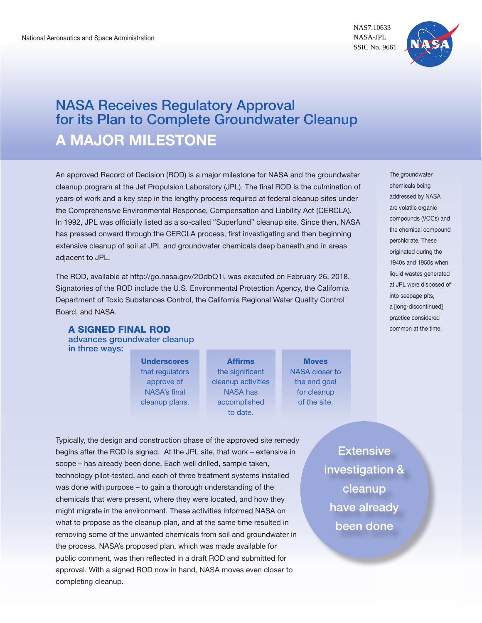NAS7.10633 NASA-JPL SSIC No. 9661



# NASA Receives Regulatory Approval for its Plan to Complete Groundwater Cleanup **A MAJOR MILESTONE**

An approved Record of Decision (ROD) is a major milestone for NASA and the groundwater cleanup program at the Jet Propulsion Laboratory (JPL). The final ROD is the culmination of years of work and a key step in the lengthy process required at federal cleanup sites under the Comprehensive Environmental Response, Compensation and Liability Act (CERCLA). In 1992, JPL was officially listed as a so-called "Superfund" cleanup site. Since then, NASA has pressed onward through the CERCLA process, first investigating and then beginning extensive cleanup of soil at JPL and groundwater chemicals deep beneath and in areas adjacent to JPL.

The ROD, available at http://go.nasa.gov/2DdbQ1i, was executed on February 26, 2018. Signatories of the ROD include the U.S. Environmental Protection Agency, the California Department of Toxic Substances Control, the California Regional Water Quality Control Board, and NASA.

### A SIGNED FINAL ROD advances groundwater cleanup

in three ways:

**Underscores** that regulators approve of NASA's final cleanup plans.

Affirms the significant cleanup activities NASA has accomplished to date.

**Moves** NASA closer to the end goal for cleanup of the site.

Typically, the design and construction phase of the approved site remedy begins after the ROD is signed. At the JPL site, that work – extensive in scope – has already been done. Each well drilled, sample taken, technology pilot-tested, and each of three treatment systems installed was done with purpose – to gain a thorough understanding of the chemicals that were present, where they were located, and how they might migrate in the environment. These activities informed NASA on what to propose as the cleanup plan, and at the same time resulted in removing some of the unwanted chemicals from soil and groundwater in the process. NASA's proposed plan, which was made available for public comment, was then reflected in a draft ROD and submitted for approval. With a signed ROD now in hand, NASA moves even closer to completing cleanup.

Extensive investigation & cleanup have already been done

The groundwater chemicals being addressed by NASA are volatile organic compounds (VOCs) and the chemical compound perchlorate. These originated during the 1940s and 1950s when liquid wastes generated at JPL were disposed of into seepage pits, a [long-discontinued] practice considered common at the time.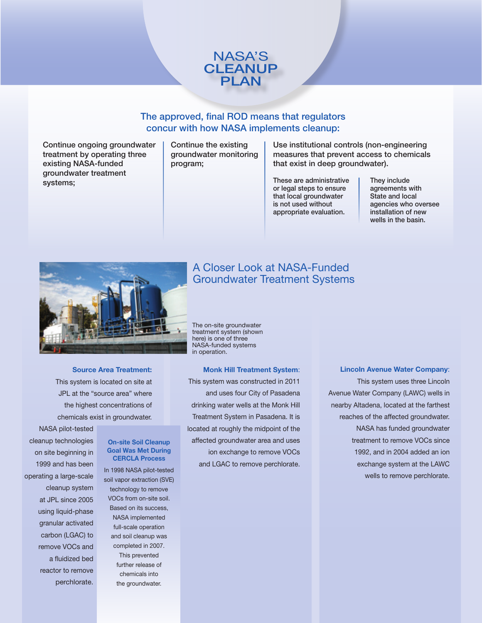

### The approved, final ROD means that regulators concur with how NASA implements cleanup:

Continue ongoing groundwater treatment by operating three existing NASA-funded groundwater treatment systems;

Continue the existing groundwater monitoring program;

Use institutional controls (non-engineering measures that prevent access to chemicals that exist in deep groundwater).

These are administrative or legal steps to ensure that local groundwater is not used without appropriate evaluation.

They include agreements with State and local agencies who oversee installation of new wells in the basin.



**Source Area Treatment:** This system is located on site at JPL at the "source area" where the highest concentrations of chemicals exist in groundwater.

## A Closer Look at NASA-Funded Groundwater Treatment Systems

The on-site groundwater treatment system (shown here) is one of three NASA-funded systems in operation.

**Monk Hill Treatment System**: This system was constructed in 2011 and uses four City of Pasadena drinking water wells at the Monk Hill Treatment System in Pasadena. It is located at roughly the midpoint of the affected groundwater area and uses ion exchange to remove VOCs and LGAC to remove perchlorate.

#### **Lincoln Avenue Water Company**:

This system uses three Lincoln Avenue Water Company (LAWC) wells in nearby Altadena, located at the farthest reaches of the affected groundwater. NASA has funded groundwater treatment to remove VOCs since 1992, and in 2004 added an ion exchange system at the LAWC wells to remove perchlorate.

cleanup technologies on site beginning in 1999 and has been operating a large-scale cleanup system at JPL since 2005 using liquid-phase granular activated carbon (LGAC) to remove VOCs and a fluidized bed reactor to remove perchlorate.

NASA pilot-tested

### **On-site Soil Cleanup Goal Was Met During CERCLA Process**

In 1998 NASA pilot-tested soil vapor extraction (SVE) technology to remove VOCs from on-site soil. Based on its success, NASA implemented full-scale operation and soil cleanup was completed in 2007. This prevented further release of chemicals into the groundwater.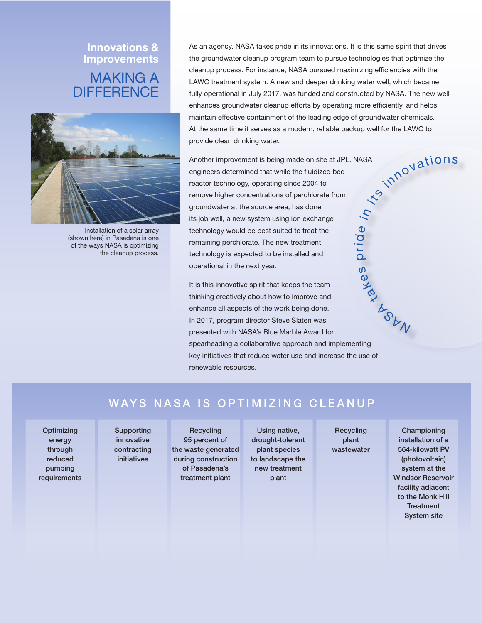## **Innovations & Improvements** MAKING A **DIFFERENCE**



Installation of a solar array (shown here) in Pasadena is one of the ways NASA is optimizing the cleanup process.

As an agency, NASA takes pride in its innovations. It is this same spirit that drives the groundwater cleanup program team to pursue technologies that optimize the cleanup process. For instance, NASA pursued maximizing efficiencies with the LAWC treatment system. A new and deeper drinking water well, which became fully operational in July 2017, was funded and constructed by NASA. The new well enhances groundwater cleanup efforts by operating more efficiently, and helps maintain effective containment of the leading edge of groundwater chemicals. At the same time it serves as a modern, reliable backup well for the LAWC to provide clean drinking water.

Another improvement is being made on site at JPL. NASA engineers determined that while the fluidized bed reactor technology, operating since 2004 to remove higher concentrations of perchlorate from groundwater at the source area, has done its job well, a new system using ion exchange technology would be best suited to treat the remaining perchlorate. The new treatment technology is expected to be installed and operational in the next year. ഗ prid  $\boldsymbol{\omega}$ <sup>i</sup><sup>n</sup>

It is this innovative spirit that keeps the team thinking creatively about how to improve and enhance all aspects of the work being done. In 2017, program director Steve Slaten was presented with NASA's Blue Marble Award for spearheading a collaborative approach and implementing key initiatives that reduce water use and increase the use of renewable resources. take

## WAYS NASA IS OPTIMIZING CLEANUP

**Optimizing** energy through reduced pumping requirements

Supporting innovative contracting initiatives

**Recycling** 95 percent of the waste generated during construction of Pasadena's treatment plant

Using native, drought-tolerant plant species to landscape the new treatment plant

**Recycling** plant wastewater

Championing installation of a 564-kilowatt PV (photovoltaic) system at the Windsor Reservoir facility adjacent to the Monk Hill **Treatment** System site

**ASUN** 

its.

in<sup>novations</sup>